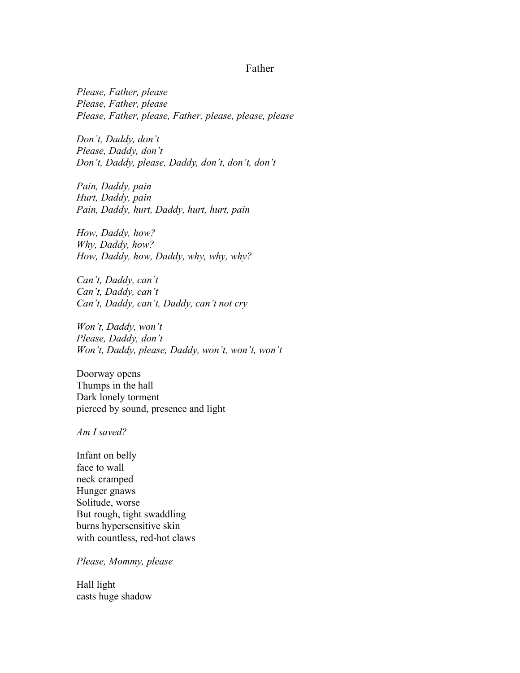## Father

*Please, Father, please Please, Father, please Please, Father, please, Father, please, please, please*

*Don't, Daddy, don't Please, Daddy, don't Don't, Daddy, please, Daddy, don't, don't, don't*

*Pain, Daddy, pain Hurt, Daddy, pain Pain, Daddy, hurt, Daddy, hurt, hurt, pain*

*How, Daddy, how? Why, Daddy, how? How, Daddy, how, Daddy, why, why, why?*

*Can't, Daddy, can't Can't, Daddy, can't Can't, Daddy, can't, Daddy, can't not cry*

*Won't, Daddy, won't Please, Daddy, don't Won't, Daddy, please, Daddy, won't, won't, won't* 

Doorway opens Thumps in the hall Dark lonely torment pierced by sound, presence and light

*Am I saved?*

Infant on belly face to wall neck cramped Hunger gnaws Solitude, worse But rough, tight swaddling burns hypersensitive skin with countless, red-hot claws

*Please, Mommy, please*

Hall light casts huge shadow